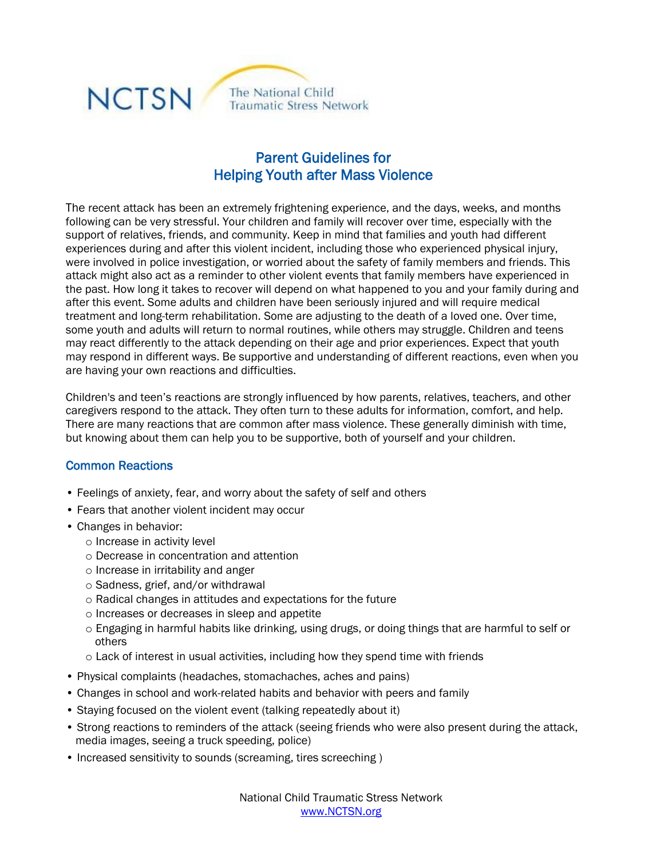

## Parent Guidelines for Helping Youth after Mass Violence

The recent attack has been an extremely frightening experience, and the days, weeks, and months following can be very stressful. Your children and family will recover over time, especially with the support of relatives, friends, and community. Keep in mind that families and youth had different experiences during and after this violent incident, including those who experienced physical injury, were involved in police investigation, or worried about the safety of family members and friends. This attack might also act as a reminder to other violent events that family members have experienced in the past. How long it takes to recover will depend on what happened to you and your family during and after this event. Some adults and children have been seriously injured and will require medical treatment and long-term rehabilitation. Some are adjusting to the death of a loved one. Over time, some youth and adults will return to normal routines, while others may struggle. Children and teens may react differently to the attack depending on their age and prior experiences. Expect that youth may respond in different ways. Be supportive and understanding of different reactions, even when you are having your own reactions and difficulties.

Children's and teen's reactions are strongly influenced by how parents, relatives, teachers, and other caregivers respond to the attack. They often turn to these adults for information, comfort, and help. There are many reactions that are common after mass violence. These generally diminish with time, but knowing about them can help you to be supportive, both of yourself and your children.

## Common Reactions

- Feelings of anxiety, fear, and worry about the safety of self and others
- Fears that another violent incident may occur
- Changes in behavior:
	- o Increase in activity level
	- o Decrease in concentration and attention
	- o Increase in irritability and anger
	- o Sadness, grief, and/or withdrawal
	- o Radical changes in attitudes and expectations for the future
	- o Increases or decreases in sleep and appetite
	- o Engaging in harmful habits like drinking, using drugs, or doing things that are harmful to self or others
	- o Lack of interest in usual activities, including how they spend time with friends
- Physical complaints (headaches, stomachaches, aches and pains)
- Changes in school and work-related habits and behavior with peers and family
- Staying focused on the violent event (talking repeatedly about it)
- Strong reactions to reminders of the attack (seeing friends who were also present during the attack, media images, seeing a truck speeding, police)
- Increased sensitivity to sounds (screaming, tires screeching)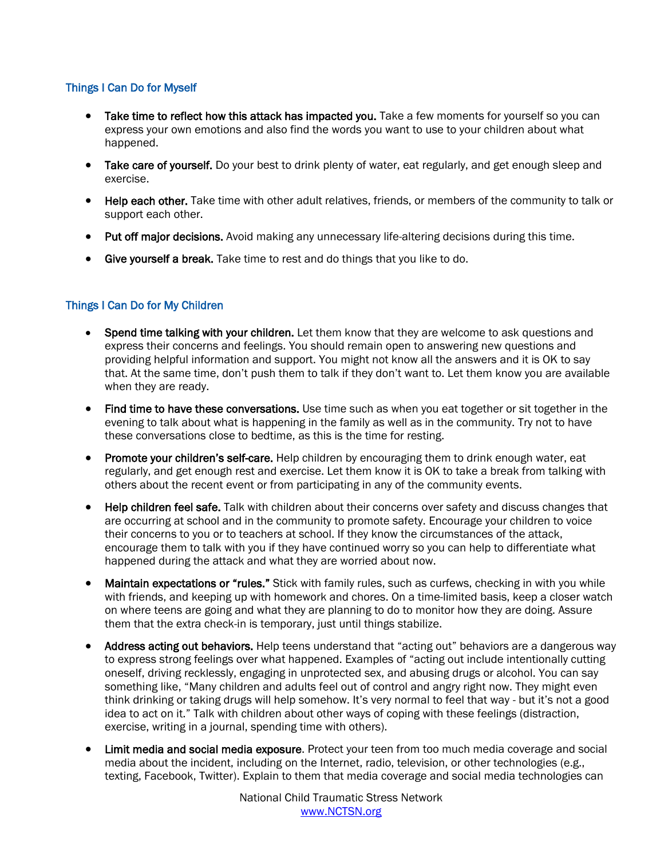## Things I Can Do for Myself

- Take time to reflect how this attack has impacted you. Take a few moments for yourself so you can express your own emotions and also find the words you want to use to your children about what happened.
- Take care of yourself. Do your best to drink plenty of water, eat regularly, and get enough sleep and exercise.
- Help each other. Take time with other adult relatives, friends, or members of the community to talk or support each other.
- Put off major decisions. Avoid making any unnecessary life-altering decisions during this time.
- Give yourself a break. Take time to rest and do things that you like to do.

## Things I Can Do for My Children

- Spend time talking with your children. Let them know that they are welcome to ask questions and express their concerns and feelings. You should remain open to answering new questions and providing helpful information and support. You might not know all the answers and it is OK to say that. At the same time, don't push them to talk if they don't want to. Let them know you are available when they are ready.
- Find time to have these conversations. Use time such as when you eat together or sit together in the evening to talk about what is happening in the family as well as in the community. Try not to have these conversations close to bedtime, as this is the time for resting.
- Promote your children's self-care. Help children by encouraging them to drink enough water, eat regularly, and get enough rest and exercise. Let them know it is OK to take a break from talking with others about the recent event or from participating in any of the community events.
- Help children feel safe. Talk with children about their concerns over safety and discuss changes that are occurring at school and in the community to promote safety. Encourage your children to voice their concerns to you or to teachers at school. If they know the circumstances of the attack, encourage them to talk with you if they have continued worry so you can help to differentiate what happened during the attack and what they are worried about now.
- Maintain expectations or "rules." Stick with family rules, such as curfews, checking in with you while with friends, and keeping up with homework and chores. On a time-limited basis, keep a closer watch on where teens are going and what they are planning to do to monitor how they are doing. Assure them that the extra check-in is temporary, just until things stabilize.
- Address acting out behaviors. Help teens understand that "acting out" behaviors are a dangerous way to express strong feelings over what happened. Examples of "acting out include intentionally cutting oneself, driving recklessly, engaging in unprotected sex, and abusing drugs or alcohol. You can say something like, "Many children and adults feel out of control and angry right now. They might even think drinking or taking drugs will help somehow. It's very normal to feel that way - but it's not a good idea to act on it." Talk with children about other ways of coping with these feelings (distraction, exercise, writing in a journal, spending time with others).
- Limit media and social media exposure. Protect your teen from too much media coverage and social media about the incident, including on the Internet, radio, television, or other technologies (e.g., texting, Facebook, Twitter). Explain to them that media coverage and social media technologies can

National Child Traumatic Stress Network www.NCTSN.org